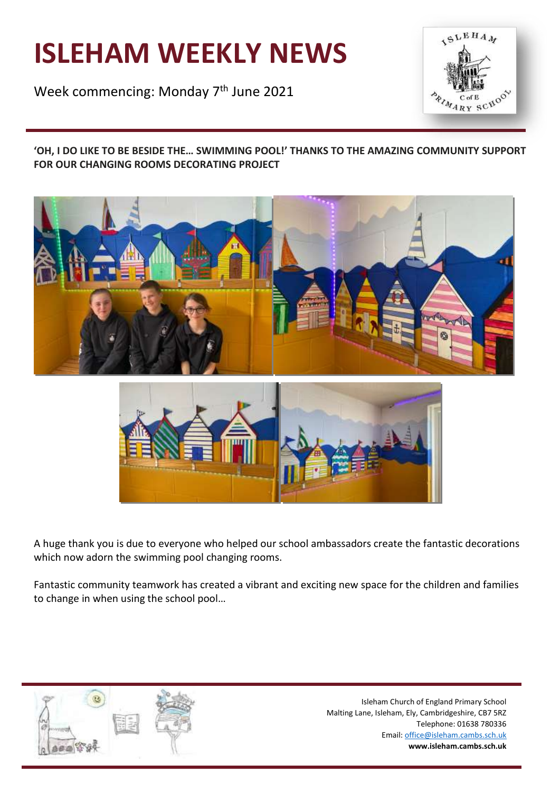# **ISLEHAM WEEKLY NEWS**

Week commencing: Monday 7<sup>th</sup> June 2021



**'OH, I DO LIKE TO BE BESIDE THE… SWIMMING POOL!' THANKS TO THE AMAZING COMMUNITY SUPPORT FOR OUR CHANGING ROOMS DECORATING PROJECT**





A huge thank you is due to everyone who helped our school ambassadors create the fantastic decorations which now adorn the swimming pool changing rooms.

Fantastic community teamwork has created a vibrant and exciting new space for the children and families to change in when using the school pool…

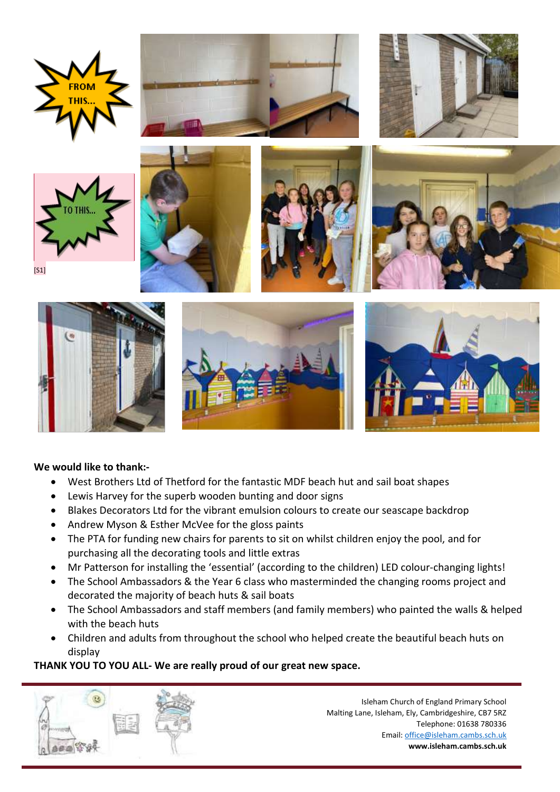













 $[<sub>S1</sub>]$ 







# **We would like to thank:-**

- West Brothers Ltd of Thetford for the fantastic MDF beach hut and sail boat shapes
- Lewis Harvey for the superb wooden bunting and door signs
- Blakes Decorators Ltd for the vibrant emulsion colours to create our seascape backdrop
- Andrew Myson & Esther McVee for the gloss paints
- The PTA for funding new chairs for parents to sit on whilst children enjoy the pool, and for purchasing all the decorating tools and little extras
- Mr Patterson for installing the 'essential' (according to the children) LED colour-changing lights!
- The School Ambassadors & the Year 6 class who masterminded the changing rooms project and decorated the majority of beach huts & sail boats
- The School Ambassadors and staff members (and family members) who painted the walls & helped with the beach huts
- Children and adults from throughout the school who helped create the beautiful beach huts on display

# **THANK YOU TO YOU ALL- We are really proud of our great new space.**

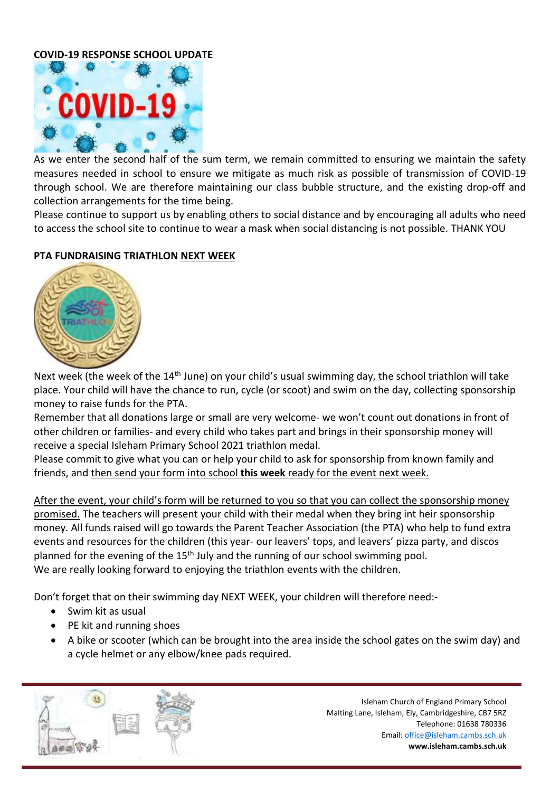## **COVID-19 RESPONSE SCHOOL UPDATE**



As we enter the second half of the sum term, we remain committed to ensuring we maintain the safety measures needed in school to ensure we mitigate as much risk as possible of transmission of COVID-19 through school. We are therefore maintaining our class bubble structure, and the existing drop-off and collection arrangements for the time being.

Please continue to support us by enabling others to social distance and by encouraging all adults who need to access the school site to continue to wear a mask when social distancing is not possible. THANK YOU

## **PTA FUNDRAISING TRIATHLON NEXT WEEK**



Next week (the week of the 14<sup>th</sup> June) on your child's usual swimming day, the school triathlon will take place. Your child will have the chance to run, cycle (or scoot) and swim on the day, collecting sponsorship money to raise funds for the PTA.

Remember that all donations large or small are very welcome- we won't count out donations in front of other children or families- and every child who takes part and brings in their sponsorship money will receive a special Isleham Primary School 2021 triathlon medal.

Please commit to give what you can or help your child to ask for sponsorship from known family and friends, and then send your form into school **this week** ready for the event next week.

After the event, your child's form will be returned to you so that you can collect the sponsorship money promised. The teachers will present your child with their medal when they bring int heir sponsorship money. All funds raised will go towards the Parent Teacher Association (the PTA) who help to fund extra events and resources for the children (this year- our leavers' tops, and leavers' pizza party, and discos planned for the evening of the 15<sup>th</sup> July and the running of our school swimming pool. We are really looking forward to enjoying the triathlon events with the children.

Don't forget that on their swimming day NEXT WEEK, your children will therefore need:-

- Swim kit as usual
- PE kit and running shoes
- A bike or scooter (which can be brought into the area inside the school gates on the swim day) and a cycle helmet or any elbow/knee pads required.

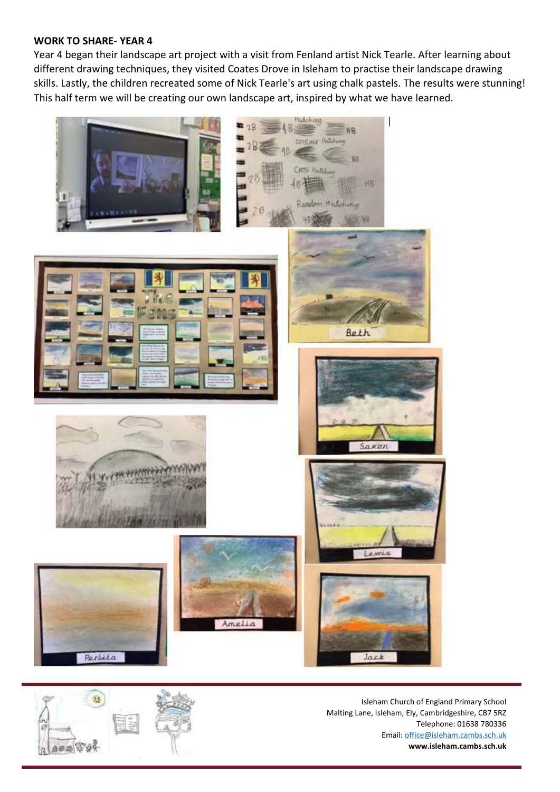#### **WORK TO SHARE- YEAR 4**

Year 4 began their landscape art project with a visit from Fenland artist Nick Tearle. After learning about different drawing techniques, they visited Coates Drove in Isleham to practise their landscape drawing skills. Lastly, the children recreated some of Nick Tearle's art using chalk pastels. The results were stunning! This half term we will be creating our own landscape art, inspired by what we have learned.



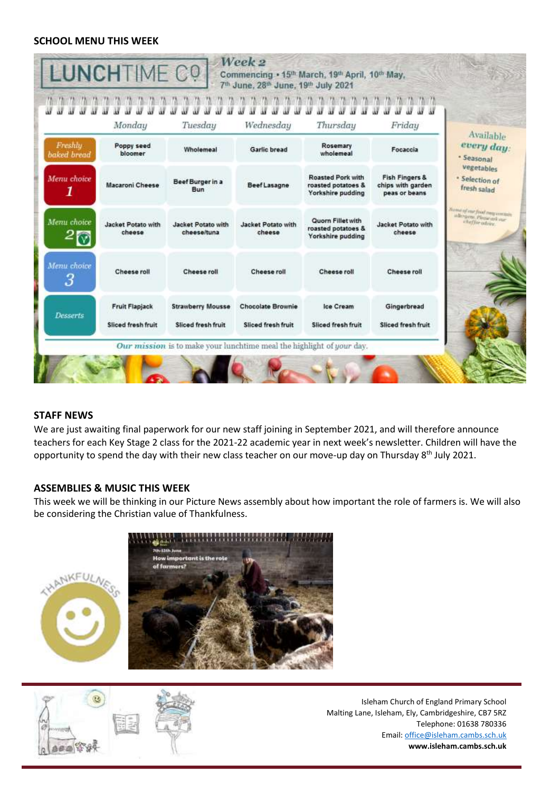#### **SCHOOL MENU THIS WEEK**

|                                    | Monday                                      | Tuesday                                        | Wednesday                                      | Thursday                                                            | Friday                                                          |                                                                                      |
|------------------------------------|---------------------------------------------|------------------------------------------------|------------------------------------------------|---------------------------------------------------------------------|-----------------------------------------------------------------|--------------------------------------------------------------------------------------|
| Freshh <sub>u</sub><br>baked bread | Poppy seed<br>bloomer                       | Wholemeal                                      | Garlic bread                                   | Rosemary<br>wholemeal                                               | Focaccia                                                        | Available<br>every day:<br>* Seasonal<br>vegetables<br>· Selection of<br>fresh salad |
| Menu choice<br>1                   | Macaroni Cheese                             | Beef Burger in a<br>Bun                        | <b>Beef Lasagne</b>                            | <b>Roasted Pork with</b><br>roasted potatoes &<br>Yorkshire pudding | <b>Fish Fingers &amp;</b><br>chips with garden<br>peas or beans |                                                                                      |
| Menu choice                        | Jacket Potato with<br>cheese                | Jacket Potato with<br>cheese/tuna              | Jacket Potato with<br>cheese                   | Quorn Fillet with<br>roasted potatoes &<br>Yorkshire pudding        | Jacket Potato with<br>cheese                                    | Sumi of our feed may contact:<br>allergens. Plane ask our<br>whether odvive.         |
| Menu choice<br>3                   | Cheese roll                                 | Cheese roll                                    | Cheese roll                                    | Cheese roll                                                         | Cheese roll                                                     |                                                                                      |
| <b>Desserts</b>                    | <b>Fruit Flapjack</b><br>Sliced fresh fruit | <b>Strawberry Mousse</b><br>Sliced fresh fruit | <b>Chocolate Brownie</b><br>Sliced fresh fruit | Ice Cream<br><b>Sliced fresh fruit</b>                              | Gingerbread<br>Sliced fresh fruit                               |                                                                                      |

#### **STAFF NEWS**

We are just awaiting final paperwork for our new staff joining in September 2021, and will therefore announce teachers for each Key Stage 2 class for the 2021-22 academic year in next week's newsletter. Children will have the opportunity to spend the day with their new class teacher on our move-up day on Thursday 8<sup>th</sup> July 2021.

#### **ASSEMBLIES & MUSIC THIS WEEK**

This week we will be thinking in our Picture News assembly about how important the role of farmers is. We will also be considering the Christian value of Thankfulness.